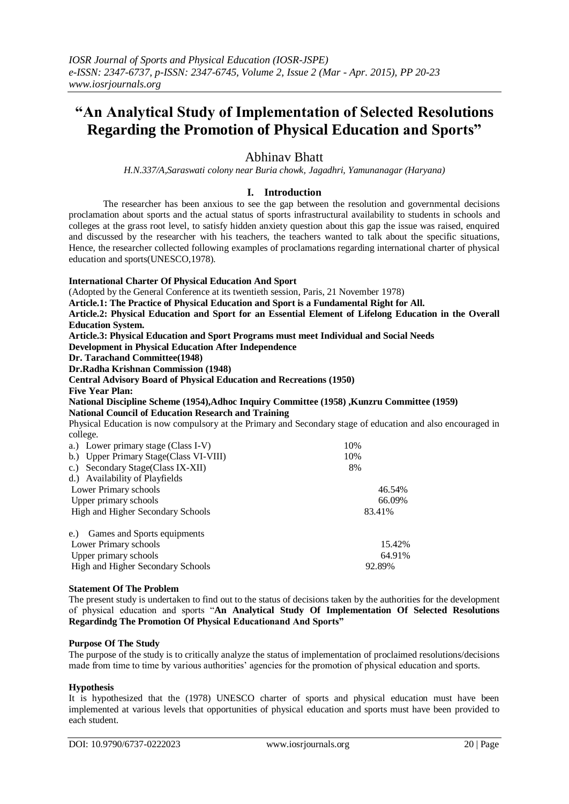# **"An Analytical Study of Implementation of Selected Resolutions Regarding the Promotion of Physical Education and Sports"**

# Abhinav Bhatt

*H.N.337/A,Saraswati colony near Buria chowk, Jagadhri, Yamunanagar (Haryana)*

# **I. Introduction**

 The researcher has been anxious to see the gap between the resolution and governmental decisions proclamation about sports and the actual status of sports infrastructural availability to students in schools and colleges at the grass root level, to satisfy hidden anxiety question about this gap the issue was raised, enquired and discussed by the researcher with his teachers, the teachers wanted to talk about the specific situations, Hence, the researcher collected following examples of proclamations regarding international charter of physical education and sports(UNESCO,1978).

#### **International Charter Of Physical Education And Sport** (Adopted by the General Conference at its twentieth session, Paris, 21 November 1978) **Article.1: The Practice of Physical Education and Sport is a Fundamental Right for All. Article.2: Physical Education and Sport for an Essential Element of Lifelong Education in the Overall Education System. Article.3: Physical Education and Sport Programs must meet Individual and Social Needs Development in Physical Education After Independence Dr. Tarachand Committee(1948) Dr.Radha Krishnan Commission (1948) Central Advisory Board of Physical Education and Recreations (1950) Five Year Plan: National Discipline Scheme (1954),Adhoc Inquiry Committee (1958) ,Kunzru Committee (1959) National Council of Education Research and Training**  Physical Education is now compulsory at the Primary and Secondary stage of education and also encouraged in college. a.) Lower primary stage (Class I-V) 10% b.) Upper Primary Stage(Class VI-VIII) 10% c.) Secondary Stage(Class IX-XII) 8% d.) Availability of Playfields Lower Primary schools 46.54% Upper primary schools 66.09%

e.) Games and Sports equipments Lower Primary schools 15.42% Upper primary schools 64.91% 64.91% High and Higher Secondary Schools 92.89%

High and Higher Secondary Schools 83.41%

#### **Statement Of The Problem**

The present study is undertaken to find out to the status of decisions taken by the authorities for the development of physical education and sports "**An Analytical Study Of Implementation Of Selected Resolutions Regardindg The Promotion Of Physical Educationand And Sports"**

#### **Purpose Of The Study**

The purpose of the study is to critically analyze the status of implementation of proclaimed resolutions/decisions made from time to time by various authorities' agencies for the promotion of physical education and sports.

#### **Hypothesis**

It is hypothesized that the (1978) UNESCO charter of sports and physical education must have been implemented at various levels that opportunities of physical education and sports must have been provided to each student.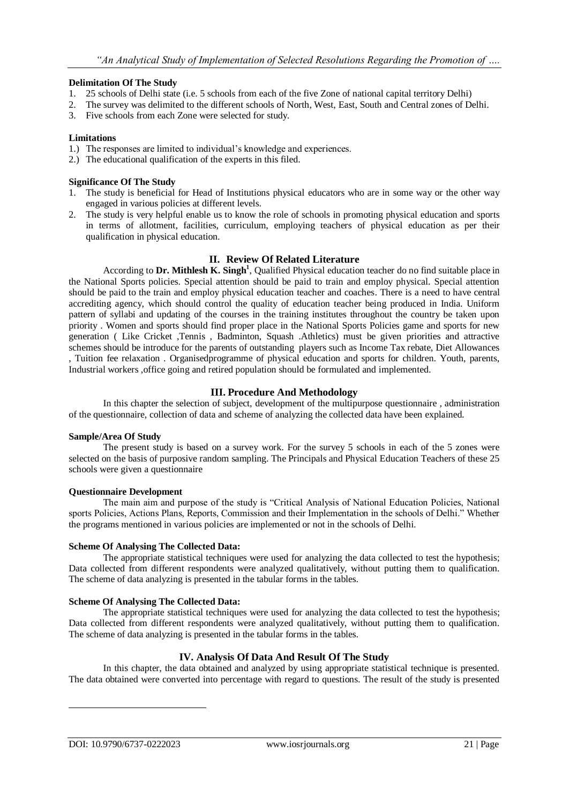# **Delimitation Of The Study**

- 1. 25 schools of Delhi state (i.e. 5 schools from each of the five Zone of national capital territory Delhi)
- 2. The survey was delimited to the different schools of North, West, East, South and Central zones of Delhi.
- 3. Five schools from each Zone were selected for study.

# **Limitations**

- 1.) The responses are limited to individual's knowledge and experiences.
- 2.) The educational qualification of the experts in this filed.

# **Significance Of The Study**

- 1. The study is beneficial for Head of Institutions physical educators who are in some way or the other way engaged in various policies at different levels.
- 2. The study is very helpful enable us to know the role of schools in promoting physical education and sports in terms of allotment, facilities, curriculum, employing teachers of physical education as per their qualification in physical education.

# **II. Review Of Related Literature**

According to **Dr. Mithlesh K. Singh<sup>1</sup>** , Qualified Physical education teacher do no find suitable place in the National Sports policies. Special attention should be paid to train and employ physical. Special attention should be paid to the train and employ physical education teacher and coaches. There is a need to have central accrediting agency, which should control the quality of education teacher being produced in India. Uniform pattern of syllabi and updating of the courses in the training institutes throughout the country be taken upon priority . Women and sports should find proper place in the National Sports Policies game and sports for new generation ( Like Cricket ,Tennis , Badminton, Squash .Athletics) must be given priorities and attractive schemes should be introduce for the parents of outstanding players such as Income Tax rebate, Diet Allowances , Tuition fee relaxation . Organisedprogramme of physical education and sports for children. Youth, parents,

Industrial workers ,office going and retired population should be formulated and implemented.

# **III. Procedure And Methodology**

In this chapter the selection of subject, development of the multipurpose questionnaire , administration of the questionnaire, collection of data and scheme of analyzing the collected data have been explained.

#### **Sample/Area Of Study**

The present study is based on a survey work. For the survey 5 schools in each of the 5 zones were selected on the basis of purposive random sampling. The Principals and Physical Education Teachers of these 25 schools were given a questionnaire

#### **Questionnaire Development**

The main aim and purpose of the study is "Critical Analysis of National Education Policies, National sports Policies, Actions Plans, Reports, Commission and their Implementation in the schools of Delhi." Whether the programs mentioned in various policies are implemented or not in the schools of Delhi.

#### **Scheme Of Analysing The Collected Data:**

The appropriate statistical techniques were used for analyzing the data collected to test the hypothesis; Data collected from different respondents were analyzed qualitatively, without putting them to qualification. The scheme of data analyzing is presented in the tabular forms in the tables.

# **Scheme Of Analysing The Collected Data:**

The appropriate statistical techniques were used for analyzing the data collected to test the hypothesis; Data collected from different respondents were analyzed qualitatively, without putting them to qualification. The scheme of data analyzing is presented in the tabular forms in the tables.

# **IV. Analysis Of Data And Result Of The Study**

In this chapter, the data obtained and analyzed by using appropriate statistical technique is presented. The data obtained were converted into percentage with regard to questions. The result of the study is presented

-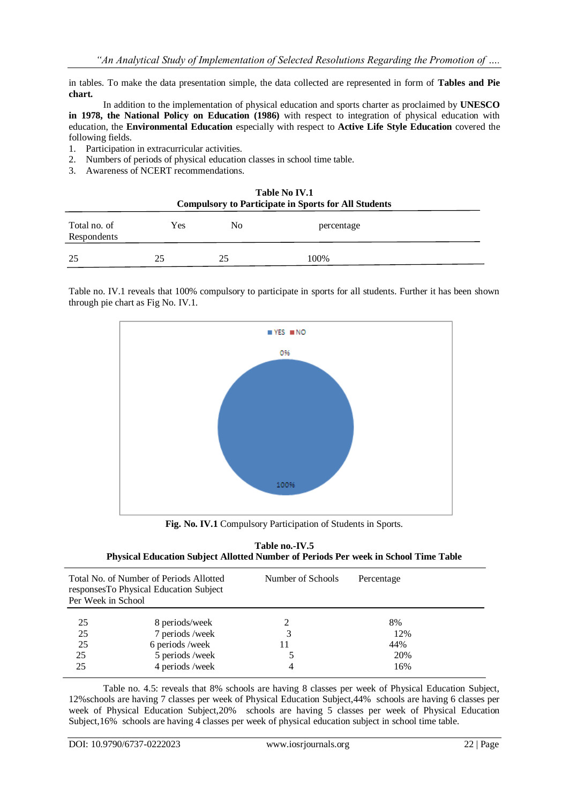in tables. To make the data presentation simple, the data collected are represented in form of **Tables and Pie chart.**

In addition to the implementation of physical education and sports charter as proclaimed by **UNESCO in 1978, the National Policy on Education (1986)** with respect to integration of physical education with education, the **Environmental Education** especially with respect to **Active Life Style Education** covered the following fields.

- 1. Participation in extracurricular activities.
- 2. Numbers of periods of physical education classes in school time table.
- 3. Awareness of NCERT recommendations.

| <b>Table No IV.1</b><br><b>Compulsory to Participate in Sports for All Students</b> |     |                |            |  |  |  |
|-------------------------------------------------------------------------------------|-----|----------------|------------|--|--|--|
| Total no. of<br>Respondents                                                         | Yes | N <sub>0</sub> | percentage |  |  |  |
| -25                                                                                 | 25  | 25             | 100%       |  |  |  |

Table no. IV.1 reveals that 100% compulsory to participate in sports for all students. Further it has been shown through pie chart as Fig No. IV.1.



**Fig. No. IV.1** Compulsory Participation of Students in Sports.

| Table no.-IV.5                                                                      |
|-------------------------------------------------------------------------------------|
| Physical Education Subject Allotted Number of Periods Per week in School Time Table |

| Total No. of Number of Periods Allotted<br>responsesTo Physical Education Subject<br>Per Week in School |                 | Number of Schools | Percentage |  |
|---------------------------------------------------------------------------------------------------------|-----------------|-------------------|------------|--|
| 25                                                                                                      | 8 periods/week  |                   | 8%         |  |
| 25                                                                                                      | 7 periods/week  |                   | 12%        |  |
| 25                                                                                                      | 6 periods /week | 11                | 44%        |  |
| 25                                                                                                      | 5 periods /week |                   | 20%        |  |
| 25                                                                                                      | 4 periods /week | 4                 | 16%        |  |

Table no. 4.5: reveals that 8% schools are having 8 classes per week of Physical Education Subject, 12%schools are having 7 classes per week of Physical Education Subject,44% schools are having 6 classes per week of Physical Education Subject,20% schools are having 5 classes per week of Physical Education Subject,16% schools are having 4 classes per week of physical education subject in school time table.